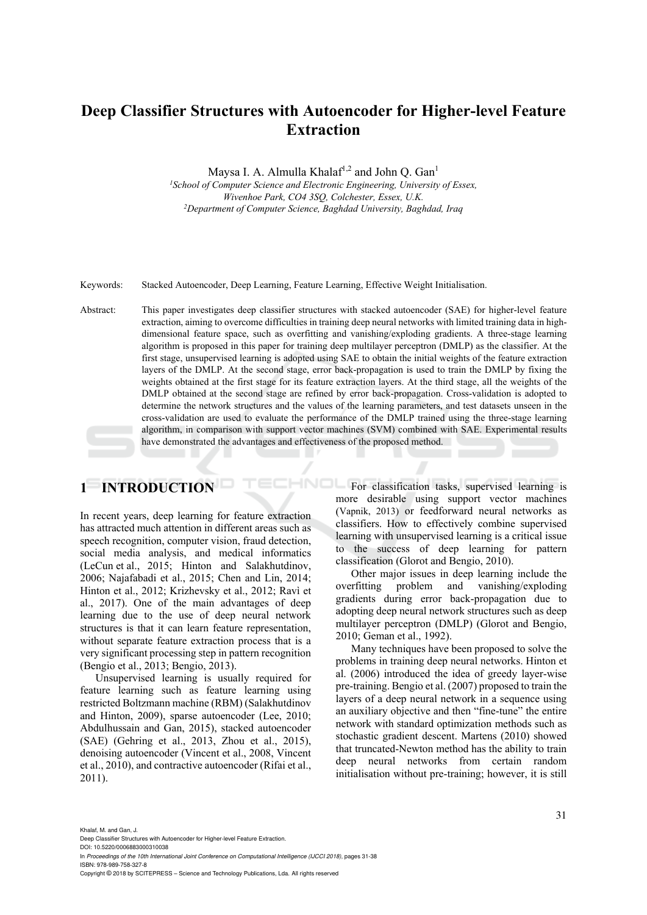# **Deep Classifier Structures with Autoencoder for Higher-level Feature Extraction**

Maysa I. A. Almulla Khalaf<sup>1,2</sup> and John Q. Gan<sup>1</sup>

<sup>1</sup> School of Computer Science and Electronic Engineering, University of Essex, *Wivenhoe Park, CO4 3SQ, Colchester, Essex, U.K. 2 Department of Computer Science, Baghdad University, Baghdad, Iraq* 

Keywords: Stacked Autoencoder, Deep Learning, Feature Learning, Effective Weight Initialisation.

Abstract: This paper investigates deep classifier structures with stacked autoencoder (SAE) for higher-level feature extraction, aiming to overcome difficulties in training deep neural networks with limited training data in highdimensional feature space, such as overfitting and vanishing/exploding gradients. A three-stage learning algorithm is proposed in this paper for training deep multilayer perceptron (DMLP) as the classifier. At the first stage, unsupervised learning is adopted using SAE to obtain the initial weights of the feature extraction layers of the DMLP. At the second stage, error back-propagation is used to train the DMLP by fixing the weights obtained at the first stage for its feature extraction layers. At the third stage, all the weights of the DMLP obtained at the second stage are refined by error back-propagation. Cross-validation is adopted to determine the network structures and the values of the learning parameters, and test datasets unseen in the cross-validation are used to evaluate the performance of the DMLP trained using the three-stage learning algorithm, in comparison with support vector machines (SVM) combined with SAE. Experimental results have demonstrated the advantages and effectiveness of the proposed method.

# **1 INTRODUCTION**

In recent years, deep learning for feature extraction has attracted much attention in different areas such as speech recognition, computer vision, fraud detection, social media analysis, and medical informatics (LeCun et al., 2015; Hinton and Salakhutdinov, 2006; Najafabadi et al., 2015; Chen and Lin, 2014; Hinton et al., 2012; Krizhevsky et al., 2012; Ravì et al., 2017). One of the main advantages of deep learning due to the use of deep neural network structures is that it can learn feature representation, without separate feature extraction process that is a very significant processing step in pattern recognition (Bengio et al., 2013; Bengio, 2013).

Unsupervised learning is usually required for feature learning such as feature learning using restricted Boltzmann machine (RBM) (Salakhutdinov and Hinton, 2009), sparse autoencoder (Lee, 2010; Abdulhussain and Gan, 2015), stacked autoencoder (SAE) (Gehring et al., 2013, Zhou et al., 2015), denoising autoencoder (Vincent et al., 2008, Vincent et al., 2010), and contractive autoencoder (Rifai et al., 2011).

For classification tasks, supervised learning is more desirable using support vector machines (Vapnik, 2013) or feedforward neural networks as classifiers. How to effectively combine supervised learning with unsupervised learning is a critical issue to the success of deep learning for pattern classification (Glorot and Bengio, 2010).

> Other major issues in deep learning include the overfitting problem and vanishing/exploding gradients during error back-propagation due to adopting deep neural network structures such as deep multilayer perceptron (DMLP) (Glorot and Bengio, 2010; Geman et al., 1992).

> Many techniques have been proposed to solve the problems in training deep neural networks. Hinton et al. (2006) introduced the idea of greedy layer-wise pre-training. Bengio et al. (2007) proposed to train the layers of a deep neural network in a sequence using an auxiliary objective and then "fine-tune" the entire network with standard optimization methods such as stochastic gradient descent. Martens (2010) showed that truncated-Newton method has the ability to train deep neural networks from certain random initialisation without pre-training; however, it is still

Khalaf, M. and Gan, J.

Deep Classifier Structures with Autoencoder for Higher-level Feature Extraction.

DOI: 10.5220/0006883000310038 In *Proceedings of the 10th International Joint Conference on Computational Intelligence (IJCCI 2018)*, pages 31-38 ISBN: 978-989-758-327-8

Copyright © 2018 by SCITEPRESS – Science and Technology Publications, Lda. All rights reserved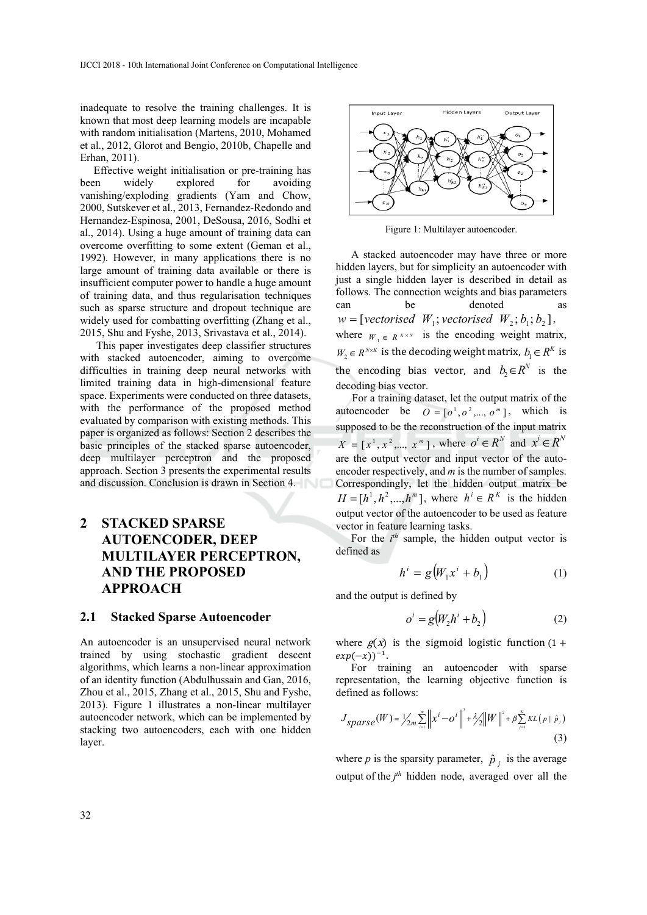inadequate to resolve the training challenges. It is known that most deep learning models are incapable with random initialisation (Martens, 2010, Mohamed et al., 2012, Glorot and Bengio, 2010b, Chapelle and Erhan, 2011).

 Effective weight initialisation or pre-training has been widely explored for avoiding vanishing/exploding gradients (Yam and Chow, 2000, Sutskever et al., 2013, Fernandez-Redondo and Hernandez-Espinosa, 2001, DeSousa, 2016, Sodhi et al., 2014). Using a huge amount of training data can overcome overfitting to some extent (Geman et al., 1992). However, in many applications there is no large amount of training data available or there is insufficient computer power to handle a huge amount of training data, and thus regularisation techniques such as sparse structure and dropout technique are widely used for combatting overfitting (Zhang et al., 2015, Shu and Fyshe, 2013, Srivastava et al., 2014).

This paper investigates deep classifier structures with stacked autoencoder, aiming to overcome difficulties in training deep neural networks with limited training data in high-dimensional feature space. Experiments were conducted on three datasets, with the performance of the proposed method evaluated by comparison with existing methods. This paper is organized as follows: Section 2 describes the basic principles of the stacked sparse autoencoder, deep multilayer perceptron and the proposed approach. Section 3 presents the experimental results and discussion. Conclusion is drawn in Section 4.

## **2 STACKED SPARSE AUTOENCODER, DEEP MULTILAYER PERCEPTRON, AND THE PROPOSED APPROACH**

#### **2.1 Stacked Sparse Autoencoder**

An autoencoder is an unsupervised neural network trained by using stochastic gradient descent algorithms, which learns a non-linear approximation of an identity function (Abdulhussain and Gan, 2016, Zhou et al., 2015, Zhang et al., 2015, Shu and Fyshe, 2013). Figure 1 illustrates a non-linear multilayer autoencoder network, which can be implemented by stacking two autoencoders, each with one hidden layer.



Figure 1: Multilayer autoencoder.

A stacked autoencoder may have three or more hidden layers, but for simplicity an autoencoder with just a single hidden layer is described in detail as follows. The connection weights and bias parameters can be denoted  $W = [vectorised \ W_1; vectorised \ W_2; b_1; b_2],$ where  $W_1 \in R^{K \times N}$  is the encoding weight matrix,  $W_2 \in R^{N \times K}$  is the decoding weight matrix,  $b_1 \in R^K$  is the encoding bias vector, and  $b_2 \in R^N$  is the decoding bias vector.

For a training dataset, let the output matrix of the autoencoder be  $Q = [o^1, o^2, \dots, o^m]$ , which is supposed to be the reconstruction of the input matrix  $X = [x^1, x^2, ..., x^m]$ , where  $o^i \in R^N$  and  $x^i \in R^N$ are the output vector and input vector of the autoencoder respectively, and *m* is the number of samples. Correspondingly, let the hidden output matrix be  $H = [h^1, h^2, \dots, h^m]$ , where  $h^i \in R^K$  is the hidden output vector of the autoencoder to be used as feature vector in feature learning tasks.

For the  $i^{th}$  sample, the hidden output vector is defined as

$$
h^i = g\big(W_1 x^i + b_1\big) \tag{1}
$$

and the output is defined by

$$
o^i = g(W_2h^i + b_2)
$$
 (2)

where  $g(x)$  is the sigmoid logistic function (1+  $exp(-x))^{-1}$ .

For training an autoencoder with sparse representation, the learning objective function is defined as follows:

$$
J_{sparse}(W) = \frac{1}{2m} \sum_{i=1}^{m} \|x^{i} - o^{i}\|^{2} + \frac{\lambda}{2} \|W\|^{2} + \beta \sum_{j=1}^{k} KL(p \parallel \hat{p}_{j})
$$
\n(3)

where *p* is the sparsity parameter,  $\hat{p}_i$  is the average output of the  $j<sup>th</sup>$  hidden node, averaged over all the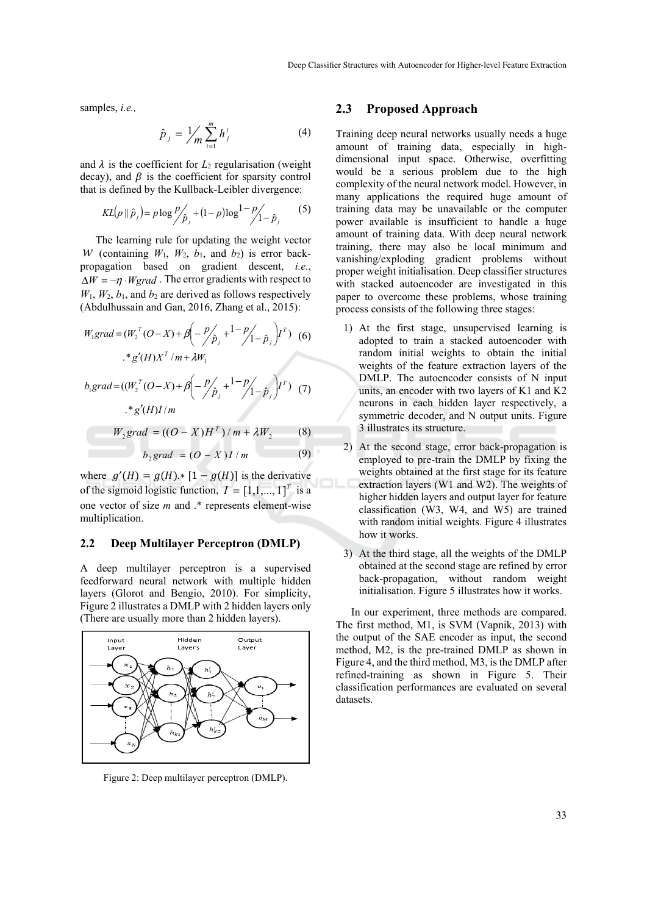samples, *i.e.,* 

$$
\hat{p}_j = \frac{1}{m} \sum_{i=1}^m h_j^i \tag{4}
$$

and  $\lambda$  is the coefficient for  $L_2$  regularisation (weight) decay), and  $\beta$  is the coefficient for sparsity control that is defined by the Kullback-Leibler divergence:

$$
KL(p || \hat{p}_j) = p \log \frac{p}{p_j} + (1 - p) \log \frac{1 - p}{1 - \hat{p}_j} \tag{5}
$$

The learning rule for updating the weight vector *W* (containing  $W_1$ ,  $W_2$ ,  $b_1$ , and  $b_2$ ) is error backpropagation based on gradient descent, *i.e.*,  $\Delta W = -\eta \cdot Wgrad$ . The error gradients with respect to  $W_1$ ,  $W_2$ ,  $b_1$ , and  $b_2$  are derived as follows respectively (Abdulhussain and Gan, 2016, Zhang et al., 2015):

$$
W_1grad = (W_2^T (O - X) + \beta \left( -\frac{p}{\hat{p}_j} + \frac{1 - p}{1 - \hat{p}_j} \right) I^T) \tag{6}
$$
  
\n
$$
* g'(H) X^T / m + \lambda W_1
$$
  
\n
$$
b_1 grad = ((W_2^T (O - X) + \beta \left( -\frac{p}{\hat{p}_j} + \frac{1 - p}{1 - \hat{p}_j} \right) I^T) \tag{7}
$$
  
\n
$$
* g'(H) I / m
$$
  
\n
$$
W_2 grad = ((O - X)H^T) / m + \lambda W_2 \tag{8}
$$
  
\n
$$
b_2 grad = (O - X) I / m \tag{9}
$$

where  $g'(H) = g(H) * [1 - g(H)]$  is the derivative of the sigmoid logistic function,  $I = [1,1,...,1]^T$  is a one vector of size *m* and .\* represents element-wise multiplication.

## **2.2 Deep Multilayer Perceptron (DMLP)**

A deep multilayer perceptron is a supervised feedforward neural network with multiple hidden layers (Glorot and Bengio, 2010). For simplicity, Figure 2 illustrates a DMLP with 2 hidden layers only (There are usually more than 2 hidden layers).



Figure 2: Deep multilayer perceptron (DMLP).

#### **2.3 Proposed Approach**

Training deep neural networks usually needs a huge amount of training data, especially in highdimensional input space. Otherwise, overfitting would be a serious problem due to the high complexity of the neural network model. However, in many applications the required huge amount of training data may be unavailable or the computer power available is insufficient to handle a huge amount of training data. With deep neural network training, there may also be local minimum and vanishing/exploding gradient problems without proper weight initialisation. Deep classifier structures with stacked autoencoder are investigated in this paper to overcome these problems, whose training process consists of the following three stages:

- 1) At the first stage, unsupervised learning is adopted to train a stacked autoencoder with random initial weights to obtain the initial weights of the feature extraction layers of the DMLP. The autoencoder consists of N input units, an encoder with two layers of K1 and K2 neurons in each hidden layer respectively, a symmetric decoder, and N output units. Figure 3 illustrates its structure.
- 2) At the second stage, error back-propagation is employed to pre-train the DMLP by fixing the weights obtained at the first stage for its feature extraction layers (W1 and W2). The weights of higher hidden layers and output layer for feature classification (W3, W4, and W5) are trained with random initial weights. Figure 4 illustrates how it works.
- 3) At the third stage, all the weights of the DMLP obtained at the second stage are refined by error back-propagation, without random weight initialisation. Figure 5 illustrates how it works.

In our experiment, three methods are compared. The first method, M1, is SVM (Vapnik, 2013) with the output of the SAE encoder as input, the second method, M2, is the pre-trained DMLP as shown in Figure 4, and the third method, M3, is the DMLP after refined-training as shown in Figure 5. Their classification performances are evaluated on several datasets.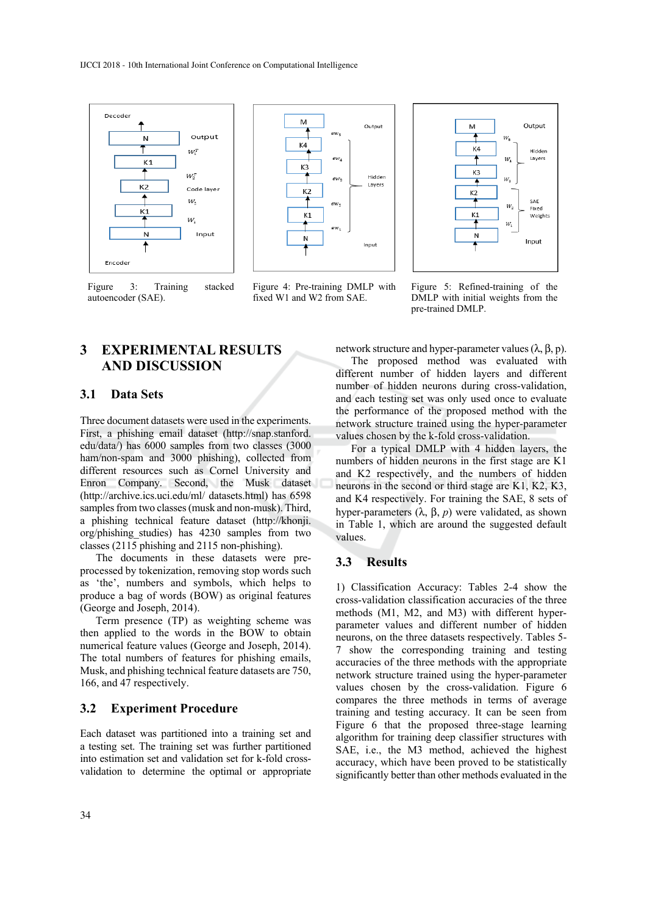

Figure 3: Training stacked autoencoder (SAE).

# **3 EXPERIMENTAL RESULTS AND DISCUSSION**

#### **3.1 Data Sets**

Three document datasets were used in the experiments. First, a phishing email dataset (http://snap.stanford. edu/data/) has 6000 samples from two classes (3000 ham/non-spam and 3000 phishing), collected from different resources such as Cornel University and Enron Company. Second, the Musk dataset (http://archive.ics.uci.edu/ml/ datasets.html) has 6598 samples from two classes (musk and non-musk). Third, a phishing technical feature dataset (http://khonji. org/phishing\_studies) has 4230 samples from two classes (2115 phishing and 2115 non-phishing).

The documents in these datasets were preprocessed by tokenization, removing stop words such as 'the', numbers and symbols, which helps to produce a bag of words (BOW) as original features (George and Joseph, 2014).

Term presence (TP) as weighting scheme was then applied to the words in the BOW to obtain numerical feature values (George and Joseph, 2014). The total numbers of features for phishing emails, Musk, and phishing technical feature datasets are 750, 166, and 47 respectively.

### **3.2 Experiment Procedure**

Each dataset was partitioned into a training set and a testing set. The training set was further partitioned into estimation set and validation set for k-fold crossvalidation to determine the optimal or appropriate



Figure 4: Pre-training DMLP with fixed W1 and W2 from SAE.



Figure 5: Refined-training of the DMLP with initial weights from the pre-trained DMLP.

network structure and hyper-parameter values  $(λ, β, p)$ . The proposed method was evaluated with different number of hidden layers and different number of hidden neurons during cross-validation, and each testing set was only used once to evaluate the performance of the proposed method with the network structure trained using the hyper-parameter values chosen by the k-fold cross-validation.

For a typical DMLP with 4 hidden layers, the numbers of hidden neurons in the first stage are K1 and K2 respectively, and the numbers of hidden neurons in the second or third stage are K1, K2, K3, and K4 respectively. For training the SAE, 8 sets of hyper-parameters (λ, β, *p*) were validated, as shown in Table 1, which are around the suggested default values.

#### **3.3 Results**

1) Classification Accuracy: Tables 2-4 show the cross-validation classification accuracies of the three methods (M1, M2, and M3) with different hyperparameter values and different number of hidden neurons, on the three datasets respectively. Tables 5- 7 show the corresponding training and testing accuracies of the three methods with the appropriate network structure trained using the hyper-parameter values chosen by the cross-validation. Figure 6 compares the three methods in terms of average training and testing accuracy. It can be seen from Figure 6 that the proposed three-stage learning algorithm for training deep classifier structures with SAE, i.e., the M3 method, achieved the highest accuracy, which have been proved to be statistically significantly better than other methods evaluated in the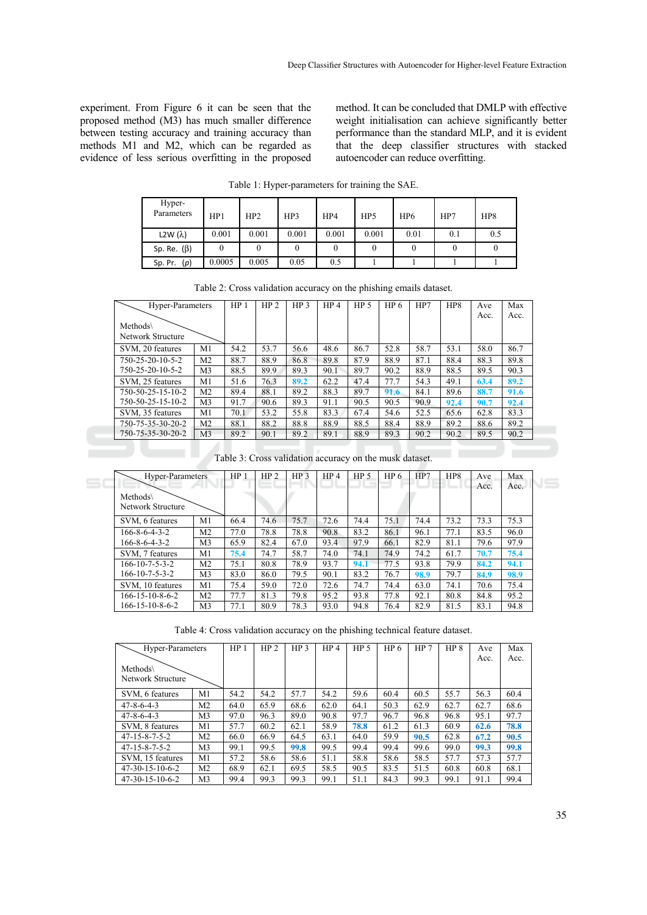experiment. From Figure 6 it can be seen that the proposed method (M3) has much smaller difference between testing accuracy and training accuracy than methods M1 and M2, which can be regarded as evidence of less serious overfitting in the proposed method. It can be concluded that DMLP with effective weight initialisation can achieve significantly better performance than the standard MLP, and it is evident that the deep classifier structures with stacked autoencoder can reduce overfitting.

| Hyper-<br>Parameters | HP1    | HP2   | HP3   | HP4   | HP5   | HP <sub>6</sub> | HP7 | HP8 |
|----------------------|--------|-------|-------|-------|-------|-----------------|-----|-----|
| L2W $(\lambda)$      | 0.001  | 0.001 | 0.001 | 0.001 | 0.001 | 0.01            | 0.1 | 0.5 |
| Sp. Re. $(\beta)$    |        |       |       |       |       |                 |     |     |
| Sp. Pr. $(p)$        | 0.0005 | 0.005 | 0.05  | 0.5   |       |                 |     |     |

Table 1: Hyper-parameters for training the SAE.

| Hyper-Parameters              |                | HP <sub>1</sub> | HP <sub>2</sub> | HP <sub>3</sub> | HP <sub>4</sub> | HP <sub>5</sub> | HP 6 | HP7  | HP <sub>8</sub> | Ave  | Max  |
|-------------------------------|----------------|-----------------|-----------------|-----------------|-----------------|-----------------|------|------|-----------------|------|------|
| Methods\                      |                |                 |                 |                 |                 |                 |      |      |                 | Acc. | Acc. |
| Network Structure             |                |                 |                 |                 |                 |                 |      |      |                 |      |      |
| SVM, 20 features              | M1             | 54.2            | 53.7            | 56.6            | 48.6            | 86.7            | 52.8 | 58.7 | 53.1            | 58.0 | 86.7 |
| $750 - 25 - 20 - 10 - 5 - 2$  | M <sub>2</sub> | 88.7            | 88.9            | 86.8            | 89.8            | 87.9            | 88.9 | 87.1 | 88.4            | 88.3 | 89.8 |
| $750 - 25 - 20 - 10 - 5 - 2$  | M3             | 88.5            | 89.9            | 89.3            | 90.1            | 89.7            | 90.2 | 88.9 | 88.5            | 89.5 | 90.3 |
| SVM, 25 features              | M1             | 51.6            | 76.3            | 89.2            | 62.2            | 47.4            | 77.7 | 54.3 | 49.1            | 63.4 | 89.2 |
| $750 - 50 - 25 - 15 - 10 - 2$ | M <sub>2</sub> | 89.4            | 88.1            | 89.2            | 88.3            | 89.7            | 91.6 | 84.1 | 89.6            | 88.7 | 91.6 |
| 750-50-25-15-10-2             | M3             | 91.7            | 90.6            | 89.3            | 91.1            | 90.5            | 90.5 | 90.9 | 92.4            | 90.7 | 92.4 |
| SVM, 35 features              | M1             | 70.1            | 53.2            | 55.8            | 83.3            | 67.4            | 54.6 | 52.5 | 65.6            | 62.8 | 83.3 |
| 750-75-35-30-20-2             | M2             | 88.1            | 88.2            | 88.8            | 88.9            | 88.5            | 88.4 | 88.9 | 89.2            | 88.6 | 89.2 |
| 750-75-35-30-20-2             | M <sub>3</sub> | 89.2            | 90.1            | 89.2            | 89.1            | 88.9            | 89.3 | 90.2 | 90.2            | 89.5 | 90.2 |

Table 3: Cross validation accuracy on the musk dataset.

| Hyper-Parameters              |                | HP   | HP <sub>2</sub> | HP <sub>3</sub> | HP <sub>4</sub> | HP <sub>5</sub> | HP 6 | HP7  | HP8  | Ave<br>Acc. | Max<br>Acc. |
|-------------------------------|----------------|------|-----------------|-----------------|-----------------|-----------------|------|------|------|-------------|-------------|
| Methods\<br>Network Structure |                |      |                 |                 |                 |                 |      |      |      |             |             |
| SVM, 6 features               | M1             | 66.4 | 74.6            | 75.7            | 72.6            | 74.4            | 75.1 | 74.4 | 73.2 | 73.3        | 75.3        |
| $166 - 8 - 6 - 4 - 3 - 2$     | M <sub>2</sub> | 77.0 | 78.8            | 78.8            | 90.8            | 83.2            | 86.1 | 96.1 | 77.1 | 83.5        | 96.0        |
| $166 - 8 - 6 - 4 - 3 - 2$     | M <sub>3</sub> | 65.9 | 82.4            | 67.0            | 93.4            | 97.9            | 66.1 | 82.9 | 81.1 | 79.6        | 97.9        |
| SVM, 7 features               | M1             | 75.4 | 74.7            | 58.7            | 74.0            | 74.1            | 74.9 | 74.2 | 61.7 | 70.7        | 75.4        |
| $166 - 10 - 7 - 5 - 3 - 2$    | M <sub>2</sub> | 75.1 | 80.8            | 78.9            | 93.7            | 94.1            | 77.5 | 93.8 | 79.9 | 84.2        | 94.1        |
| $166 - 10 - 7 - 5 - 3 - 2$    | M <sub>3</sub> | 83.0 | 86.0            | 79.5            | 90.1            | 83.2            | 76.7 | 98.9 | 79.7 | 84.9        | 98.9        |
| SVM, 10 features              | M1             | 75.4 | 59.0            | 72.0            | 72.6            | 74.7            | 74.4 | 63.0 | 74.1 | 70.6        | 75.4        |
| $166 - 15 - 10 - 8 - 6 - 2$   | M <sub>2</sub> | 77.7 | 81.3            | 79.8            | 95.2            | 93.8            | 77.8 | 92.1 | 80.8 | 84.8        | 95.2        |
| 166-15-10-8-6-2               | M <sub>3</sub> | 77.1 | 80.9            | 78.3            | 93.0            | 94.8            | 76.4 | 82.9 | 81.5 | 83.1        | 94.8        |

Table 4: Cross validation accuracy on the phishing technical feature dataset.

| Hyper-Parameters          |                | HP <sub>1</sub> | HP <sub>2</sub> | HP <sub>3</sub> | HP <sub>4</sub> | HP <sub>5</sub> | HP <sub>6</sub> | HP <sub>7</sub> | HP <sub>8</sub> | Ave  | Max  |
|---------------------------|----------------|-----------------|-----------------|-----------------|-----------------|-----------------|-----------------|-----------------|-----------------|------|------|
|                           |                |                 |                 |                 |                 |                 |                 |                 |                 | Acc. | Acc. |
| Methods\                  |                |                 |                 |                 |                 |                 |                 |                 |                 |      |      |
| Network Structure         |                |                 |                 |                 |                 |                 |                 |                 |                 |      |      |
| SVM, 6 features           | M1             | 54.2            | 54.2            | 57.7            | 54.2            | 59.6            | 60.4            | 60.5            | 55.7            | 56.3 | 60.4 |
| $47 - 8 - 6 - 4 - 3$      | M <sub>2</sub> | 64.0            | 65.9            | 68.6            | 62.0            | 64.1            | 50.3            | 62.9            | 62.7            | 62.7 | 68.6 |
| $47 - 8 - 6 - 4 - 3$      | M <sub>3</sub> | 97.0            | 96.3            | 89.0            | 90.8            | 97.7            | 96.7            | 96.8            | 96.8            | 95.1 | 97.7 |
| SVM, 8 features           | M1             | 57.7            | 60.2            | 62.1            | 58.9            | 78.8            | 61.2            | 61.3            | 60.9            | 62.6 | 78.8 |
| $47 - 15 - 8 - 7 - 5 - 2$ | M <sub>2</sub> | 66.0            | 66.9            | 64.5            | 63.1            | 64.0            | 59.9            | 90.5            | 62.8            | 67.2 | 90.5 |
| $47 - 15 - 8 - 7 - 5 - 2$ | M <sub>3</sub> | 99.1            | 99.5            | 99.8            | 99.5            | 99.4            | 99.4            | 99.6            | 99.0            | 99.3 | 99.8 |
| SVM, 15 features          | M1             | 57.2            | 58.6            | 58.6            | 51.1            | 58.8            | 58.6            | 58.5            | 57.7            | 57.3 | 57.7 |
| $47-30-15-10-6-2$         | M <sub>2</sub> | 68.9            | 62.1            | 69.5            | 58.5            | 90.5            | 83.5            | 51.5            | 60.8            | 60.8 | 68.1 |
| $47-30-15-10-6-2$         | M <sub>3</sub> | 99.4            | 99.3            | 99.3            | 99.1            | 51.1            | 84.3            | 99.3            | 99.1            | 91.1 | 99.4 |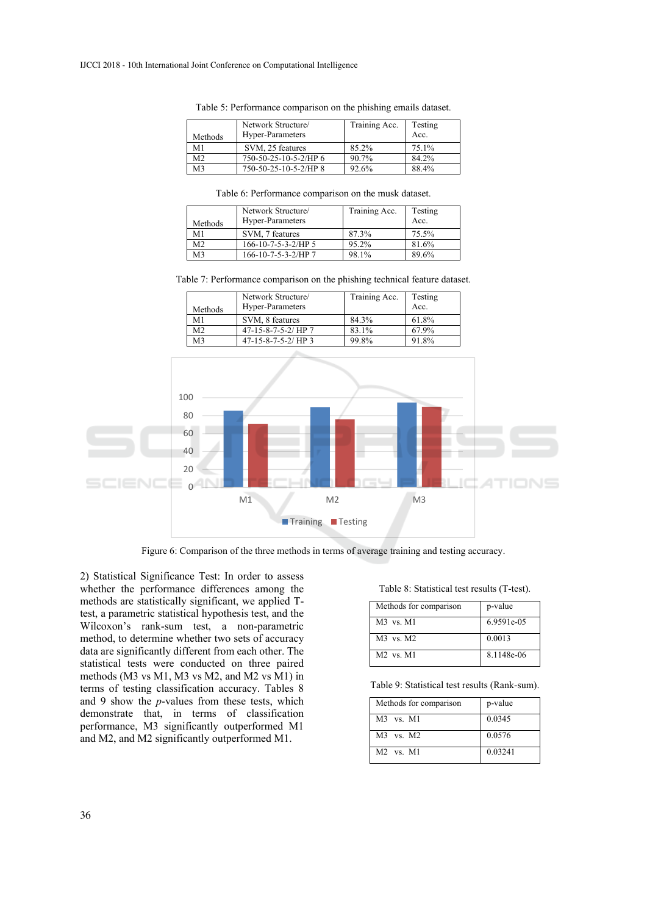| Methods        | Network Structure/<br>Hyper-Parameters | Training Acc. | Testing<br>Acc. |
|----------------|----------------------------------------|---------------|-----------------|
| M1             | SVM, 25 features                       | 85.2%         | 75.1%           |
| M <sub>2</sub> | 750-50-25-10-5-2/HP 6                  | 90.7%         | 84.2%           |
| M3             | 750-50-25-10-5-2/HP 8                  | 92.6%         | 88.4%           |

Table 5: Performance comparison on the phishing emails dataset.

Table 6: Performance comparison on the musk dataset.

| Methods        | Network Structure/<br>Hyper-Parameters | Training Acc. | Testing<br>Acc. |
|----------------|----------------------------------------|---------------|-----------------|
| M1             | SVM, 7 features                        | 87.3%         | 75.5%           |
| M <sub>2</sub> | $166-10-7-5-3-2/HP$ 5                  | 95.2%         | 81.6%           |
| M <sub>3</sub> | 166-10-7-5-3-2/HP 7                    | 98.1%         | 89.6%           |

Table 7: Performance comparison on the phishing technical feature dataset.

| Methods        | Network Structure/<br>Hyper-Parameters | Training Acc. | Testing<br>Acc. |
|----------------|----------------------------------------|---------------|-----------------|
| M1             | SVM, 8 features                        | 84.3%         | 61.8%           |
| M <sub>2</sub> | $47 - 15 - 8 - 7 - 5 - 2$ HP 7         | 83.1%         | 67.9%           |
| M3             | $47-15-8-7-5-2/HP$ 3                   | 99.8%         | 91.8%           |



Figure 6: Comparison of the three methods in terms of average training and testing accuracy.

2) Statistical Significance Test: In order to assess whether the performance differences among the methods are statistically significant, we applied Ttest, a parametric statistical hypothesis test, and the Wilcoxon's rank-sum test, a non-parametric method, to determine whether two sets of accuracy data are significantly different from each other. The statistical tests were conducted on three paired methods (M3 vs M1, M3 vs M2, and M2 vs M1) in terms of testing classification accuracy. Tables 8 and 9 show the *p*-values from these tests, which demonstrate that, in terms of classification performance, M3 significantly outperformed M1 and M2, and M2 significantly outperformed M1.

Table 8: Statistical test results (T-test).

| Methods for comparison | p-value    |
|------------------------|------------|
| $M3$ vs. $M1$          | 6.9591e-05 |
| $M3$ vs. $M2$          | 0.0013     |
| $M2$ vs. $M1$          | 8.1148e-06 |

Table 9: Statistical test results (Rank-sum).

| Methods for comparison | p-value |
|------------------------|---------|
| $M3$ vs. $M1$          | 0.0345  |
| $M3$ vs. $M2$          | 0.0576  |
| $M2$ vs. $M1$          | 0.03241 |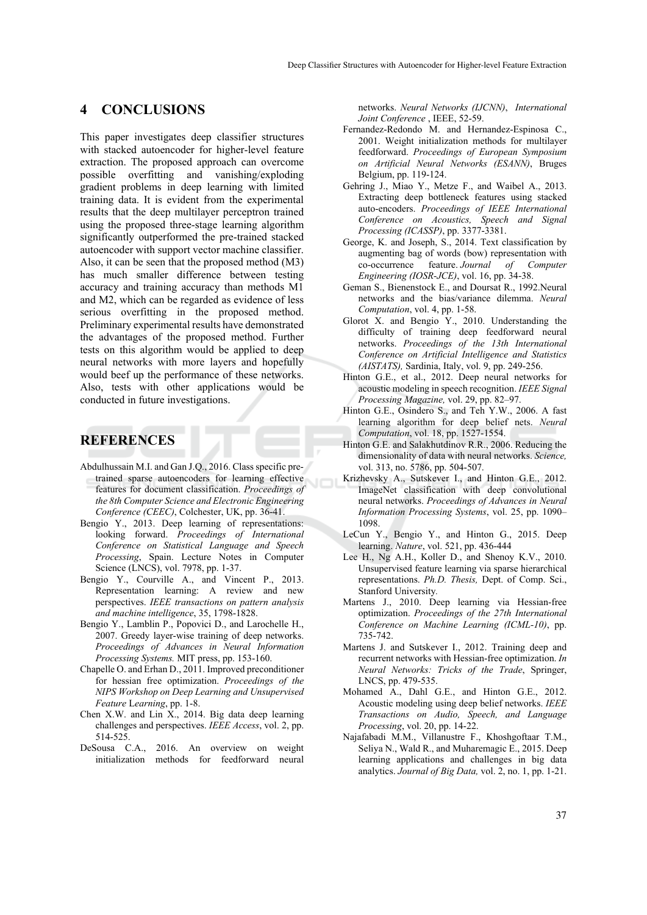## **4 CONCLUSIONS**

This paper investigates deep classifier structures with stacked autoencoder for higher-level feature extraction. The proposed approach can overcome possible overfitting and vanishing/exploding gradient problems in deep learning with limited training data. It is evident from the experimental results that the deep multilayer perceptron trained using the proposed three-stage learning algorithm significantly outperformed the pre-trained stacked autoencoder with support vector machine classifier. Also, it can be seen that the proposed method (M3) has much smaller difference between testing accuracy and training accuracy than methods M1 and M2, which can be regarded as evidence of less serious overfitting in the proposed method. Preliminary experimental results have demonstrated the advantages of the proposed method. Further tests on this algorithm would be applied to deep neural networks with more layers and hopefully would beef up the performance of these networks. Also, tests with other applications would be conducted in future investigations.

## **REFERENCES**

- Abdulhussain M.I. and Gan J.Q., 2016. Class specific pretrained sparse autoencoders for learning effective features for document classification. *Proceedings of the 8th Computer Science and Electronic Engineering Conference (CEEC)*, Colchester, UK, pp. 36-41.
- Bengio Y., 2013. Deep learning of representations: looking forward. *Proceedings of International Conference on Statistical Language and Speech Processing*, Spain. Lecture Notes in Computer Science (LNCS), vol. 7978, pp. 1-37.
- Bengio Y., Courville A., and Vincent P., 2013. Representation learning: A review and new perspectives. *IEEE transactions on pattern analysis and machine intelligence*, 35, 1798-1828.
- Bengio Y., Lamblin P., Popovici D., and Larochelle H., 2007. Greedy layer-wise training of deep networks. *Proceedings of Advances in Neural Information Processing Systems.* MIT press, pp. 153-160.
- Chapelle O. and Erhan D., 2011. Improved preconditioner for hessian free optimization. *Proceedings of the NIPS Workshop on Deep Learning and Unsupervised Feature* L*earning*, pp. 1-8.
- Chen X.W. and Lin X., 2014. Big data deep learning challenges and perspectives. *IEEE Access*, vol. 2, pp. 514-525.
- DeSousa C.A., 2016. An overview on weight initialization methods for feedforward neural

networks. *Neural Networks (IJCNN)*, *International Joint Conference* , IEEE, 52-59.

- Fernandez-Redondo M. and Hernandez-Espinosa C., 2001. Weight initialization methods for multilayer feedforward. *Proceedings of European Symposium on Artificial Neural Networks (ESANN)*, Bruges Belgium, pp. 119-124.
- Gehring J., Miao Y., Metze F., and Waibel A., 2013. Extracting deep bottleneck features using stacked auto-encoders. *Proceedings of IEEE International Conference on Acoustics, Speech and Signal Processing (ICASSP)*, pp. 3377-3381.
- George, K. and Joseph, S., 2014. Text classification by augmenting bag of words (bow) representation with co-occurrence feature. *Journal of Computer Engineering (IOSR-JCE)*, vol. 16, pp. 34-38.
- Geman S., Bienenstock E., and Doursat R., 1992.Neural networks and the bias/variance dilemma. *Neural Computation*, vol. 4, pp. 1-58.
- Glorot X. and Bengio Y., 2010. Understanding the difficulty of training deep feedforward neural networks. *Proceedings of the 13th International Conference on Artificial Intelligence and Statistics (AISTATS),* Sardinia, Italy, vol. 9, pp. 249-256.
- Hinton G.E., et al., 2012. Deep neural networks for acoustic modeling in speech recognition. *IEEE Signal Processing Magazine,* vol. 29, pp. 82–97.
- Hinton G.E., Osindero S., and Teh Y.W., 2006. A fast learning algorithm for deep belief nets. *Neural Computation*, vol. 18, pp. 1527-1554.
- Hinton G.E. and Salakhutdinov R.R., 2006. Reducing the dimensionality of data with neural networks. *Science,* vol. 313, no. 5786, pp. 504-507.
- Krizhevsky A., Sutskever I., and Hinton G.E., 2012. ImageNet classification with deep convolutional neural networks. *Proceedings of Advances in Neural Information Processing Systems*, vol. 25, pp. 1090– 1098.
- LeCun Y., Bengio Y., and Hinton G., 2015. Deep learning. *Nature*, vol. 521, pp. 436-444
- Lee H., Ng A.H., Koller D., and Shenoy K.V., 2010. Unsupervised feature learning via sparse hierarchical representations. *Ph.D. Thesis,* Dept. of Comp. Sci., Stanford University*.*
- Martens J., 2010. Deep learning via Hessian-free optimization. *Proceedings of the 27th International Conference on Machine Learning (ICML-10)*, pp. 735-742.
- Martens J. and Sutskever I., 2012. Training deep and recurrent networks with Hessian-free optimization. *In Neural Networks: Tricks of the Trade*, Springer, LNCS, pp. 479-535.
- Mohamed A., Dahl G.E., and Hinton G.E., 2012. Acoustic modeling using deep belief networks. *IEEE Transactions on Audio, Speech, and Language Processing*, vol. 20, pp. 14-22.
- Najafabadi M.M., Villanustre F., Khoshgoftaar T.M., Seliya N., Wald R., and Muharemagic E., 2015. Deep learning applications and challenges in big data analytics. *Journal of Big Data,* vol. 2, no. 1, pp. 1-21.